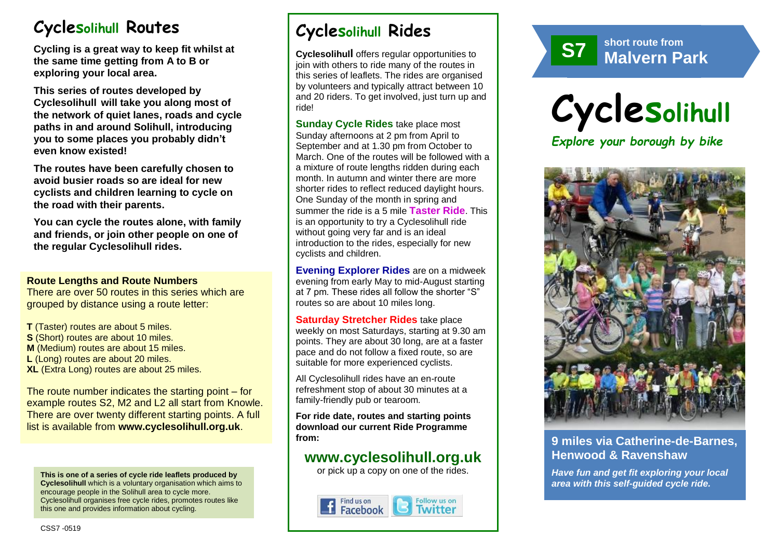# **Cyclesolihull Routes**

**Cycling is a great way to keep fit whilst at the same time getting from A to B or exploring your local area.** 

**This series of routes developed by Cyclesolihull will take you along most of the network of quiet lanes, roads and cycle paths in and around Solihull, introducing you to some places you probably didn't even know existed!**

**The routes have been carefully chosen to avoid busier roads so are ideal for new cyclists and children learning to cycle on the road with their parents.** 

**You can cycle the routes alone, with family and friends, or join other people on one of the regular Cyclesolihull rides.**

#### **Route Lengths and Route Numbers**

There are over 50 routes in this series which are grouped by distance using a route letter:

**T** (Taster) routes are about 5 miles. **S** (Short) routes are about 10 miles. **M** (Medium) routes are about 15 miles. **L** (Long) routes are about 20 miles. **XL** (Extra Long) routes are about 25 miles.

The route number indicates the starting point – for example routes S2, M2 and L2 all start from Knowle. There are over twenty different starting points. A full list is available from **www.cyclesolihull.org.uk**.

**This is one of a series of cycle ride leaflets produced by Cyclesolihull** which is a voluntary organisation which aims to encourage people in the Solihull area to cycle more. Cyclesolihull organises free cycle rides, promotes routes like this one and provides information about cycling.

# **Cyclesolihull Rides**

**Cyclesolihull** offers regular opportunities to join with others to ride many of the routes in this series of leaflets. The rides are organised by volunteers and typically attract between 10 and 20 riders. To get involved, just turn up and ride!

**Sunday Cycle Rides** take place most Sunday afternoons at 2 pm from April to September and at 1.30 pm from October to March. One of the routes will be followed with a a mixture of route lengths ridden during each month. In autumn and winter there are more shorter rides to reflect reduced daylight hours. One Sunday of the month in spring and summer the ride is a 5 mile **Taster Ride**. This is an opportunity to try a Cyclesolihull ride without going very far and is an ideal introduction to the rides, especially for new cyclists and children.

**Evening Explorer Rides** are on a midweek evening from early May to mid-August starting at 7 pm. These rides all follow the shorter "S" routes so are about 10 miles long.

**Saturday Stretcher Rides** take place weekly on most Saturdays, starting at 9.30 am points. They are about 30 long, are at a faster pace and do not follow a fixed route, so are suitable for more experienced cyclists.

All Cyclesolihull rides have an en-route refreshment stop of about 30 minutes at a family-friendly pub or tearoom.

**For ride date, routes and starting points download our current Ride Programme from:** 

## **www.cyclesolihull.org.uk**

or pick up a copy on one of the rides.









## **9 miles via Catherine-de-Barnes, Henwood & Ravenshaw**

*Have fun and get fit exploring your local area with this self-guided cycle ride.*